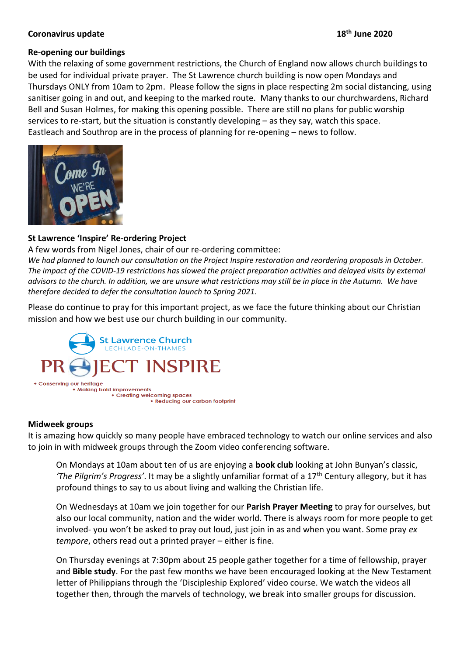### **th June 2020**

## **Coronavirus update 18**

## **Re-opening our buildings**

With the relaxing of some government restrictions, the Church of England now allows church buildings to be used for individual private prayer. The St Lawrence church building is now open Mondays and Thursdays ONLY from 10am to 2pm. Please follow the signs in place respecting 2m social distancing, using sanitiser going in and out, and keeping to the marked route. Many thanks to our churchwardens, Richard Bell and Susan Holmes, for making this opening possible. There are still no plans for public worship services to re-start, but the situation is constantly developing – as they say, watch this space. Eastleach and Southrop are in the process of planning for re-opening – news to follow.



# **St Lawrence 'Inspire' Re-ordering Project**

A few words from Nigel Jones, chair of our re-ordering committee:

*We had planned to launch our consultation on the Project Inspire restoration and reordering proposals in October. The impact of the COVID-19 restrictions has slowed the project preparation activities and delayed visits by external advisors to the church. In addition, we are unsure what restrictions may still be in place in the Autumn. We have therefore decided to defer the consultation launch to Spring 2021.*

Please do continue to pray for this important project, as we face the future thinking about our Christian mission and how we best use our church building in our community.



### **Midweek groups**

It is amazing how quickly so many people have embraced technology to watch our online services and also to join in with midweek groups through the Zoom video conferencing software.

On Mondays at 10am about ten of us are enjoying a **book club** looking at John Bunyan's classic, *'The Pilgrim's Progress'*. It may be a slightly unfamiliar format of a 17th Century allegory, but it has profound things to say to us about living and walking the Christian life.

On Wednesdays at 10am we join together for our **Parish Prayer Meeting** to pray for ourselves, but also our local community, nation and the wider world. There is always room for more people to get involved- you won't be asked to pray out loud, just join in as and when you want. Some pray *ex tempore*, others read out a printed prayer – either is fine.

On Thursday evenings at 7:30pm about 25 people gather together for a time of fellowship, prayer and **Bible study**. For the past few months we have been encouraged looking at the New Testament letter of Philippians through the 'Discipleship Explored' video course. We watch the videos all together then, through the marvels of technology, we break into smaller groups for discussion.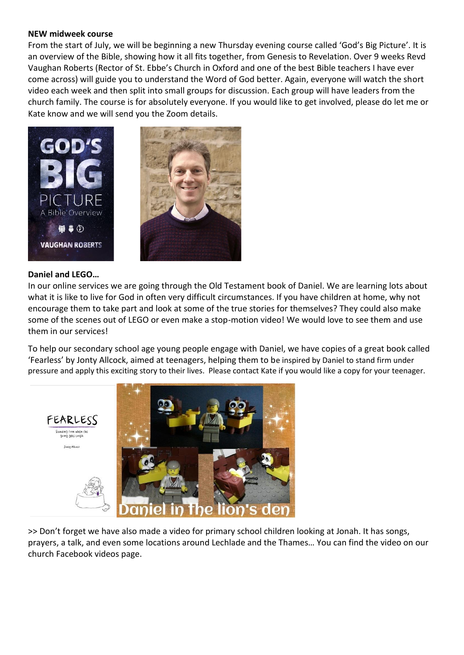#### **NEW midweek course**

From the start of July, we will be beginning a new Thursday evening course called 'God's Big Picture'. It is an overview of the Bible, showing how it all fits together, from Genesis to Revelation. Over 9 weeks Revd Vaughan Roberts (Rector of St. Ebbe's Church in Oxford and one of the best Bible teachers I have ever come across) will guide you to understand the Word of God better. Again, everyone will watch the short video each week and then split into small groups for discussion. Each group will have leaders from the church family. The course is for absolutely everyone. If you would like to get involved, please do let me or Kate know and we will send you the Zoom details.



### **Daniel and LEGO…**

In our online services we are going through the Old Testament book of Daniel. We are learning lots about what it is like to live for God in often very difficult circumstances. If you have children at home, why not encourage them to take part and look at some of the true stories for themselves? They could also make some of the scenes out of LEGO or even make a stop-motion video! We would love to see them and use them in our services!

To help our secondary school age young people engage with Daniel, we have copies of a great book called 'Fearless' by Jonty Allcock, aimed at teenagers, helping them to be inspired by Daniel to stand firm under pressure and apply this exciting story to their lives. Please contact Kate if you would like a copy for your teenager.



>> Don't forget we have also made a video for primary school children looking at Jonah. It has songs, prayers, a talk, and even some locations around Lechlade and the Thames… You can find the video on our church Facebook videos page.